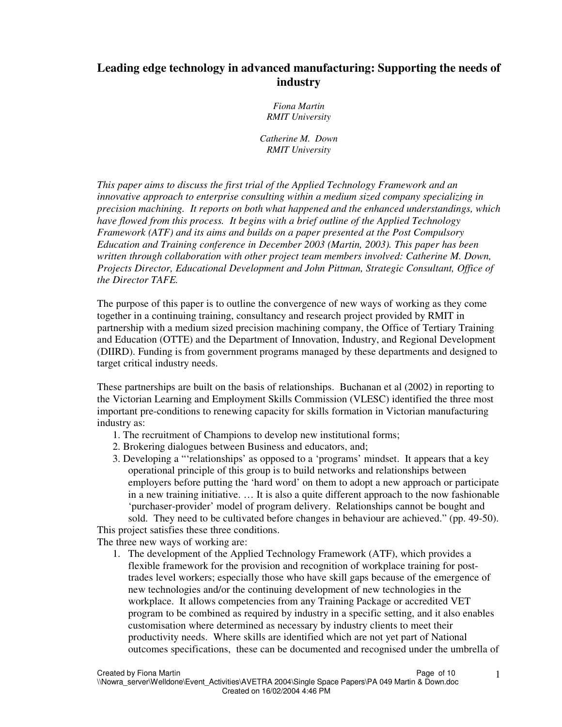# **Leading edge technology in advanced manufacturing: Supporting the needs of industry**

*Fiona Martin RMIT University*

*Catherine M. Down RMIT University*

*This paper aims to discuss the first trial of the Applied Technology Framework and an innovative approach to enterprise consulting within a medium sized company specializing in precision machining. It reports on both what happened and the enhanced understandings, which have flowed from this process. It begins with a brief outline of the Applied Technology Framework (ATF) and its aims and builds on a paper presented at the Post Compulsory Education and Training conference in December 2003 (Martin, 2003). This paper has been written through collaboration with other project team members involved: Catherine M. Down, Projects Director, Educational Development and John Pittman, Strategic Consultant, Office of the Director TAFE.*

The purpose of this paper is to outline the convergence of new ways of working as they come together in a continuing training, consultancy and research project provided by RMIT in partnership with a medium sized precision machining company, the Office of Tertiary Training and Education (OTTE) and the Department of Innovation, Industry, and Regional Development (DIIRD). Funding is from government programs managed by these departments and designed to target critical industry needs.

These partnerships are built on the basis of relationships. Buchanan et al (2002) in reporting to the Victorian Learning and Employment Skills Commission (VLESC) identified the three most important pre-conditions to renewing capacity for skills formation in Victorian manufacturing industry as:

- 1. The recruitment of Champions to develop new institutional forms;
- 2. Brokering dialogues between Business and educators, and;
- 3. Developing a "'relationships' as opposed to a 'programs' mindset. It appears that a key operational principle of this group is to build networks and relationships between employers before putting the 'hard word' on them to adopt a new approach or participate in a new training initiative. … It is also a quite different approach to the now fashionable 'purchaser-provider' model of program delivery. Relationships cannot be bought and sold. They need to be cultivated before changes in behaviour are achieved." (pp. 49-50).

This project satisfies these three conditions.

The three new ways of working are:

1. The development of the Applied Technology Framework (ATF), which provides a flexible framework for the provision and recognition of workplace training for posttrades level workers; especially those who have skill gaps because of the emergence of new technologies and/or the continuing development of new technologies in the workplace. It allows competencies from any Training Package or accredited VET program to be combined as required by industry in a specific setting, and it also enables customisation where determined as necessary by industry clients to meet their productivity needs. Where skills are identified which are not yet part of National outcomes specifications, these can be documented and recognised under the umbrella of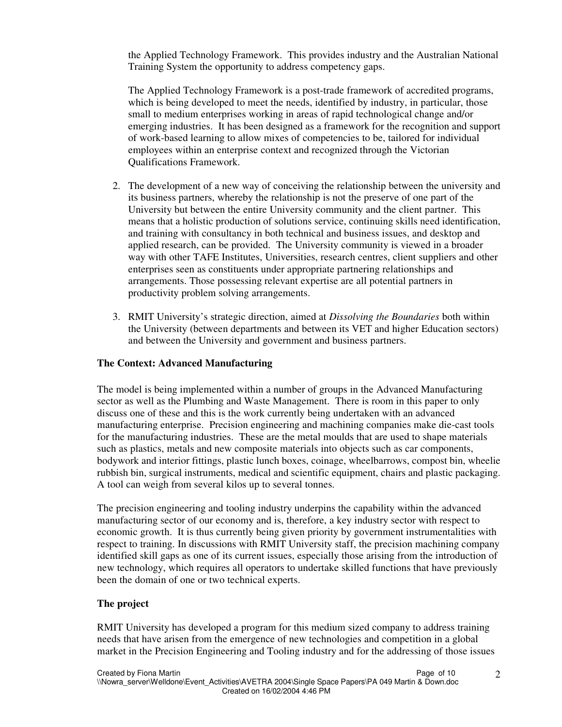the Applied Technology Framework. This provides industry and the Australian National Training System the opportunity to address competency gaps.

The Applied Technology Framework is a post-trade framework of accredited programs, which is being developed to meet the needs, identified by industry, in particular, those small to medium enterprises working in areas of rapid technological change and/or emerging industries. It has been designed as a framework for the recognition and support of work-based learning to allow mixes of competencies to be, tailored for individual employees within an enterprise context and recognized through the Victorian Qualifications Framework.

- 2. The development of a new way of conceiving the relationship between the university and its business partners, whereby the relationship is not the preserve of one part of the University but between the entire University community and the client partner. This means that a holistic production of solutions service, continuing skills need identification, and training with consultancy in both technical and business issues, and desktop and applied research, can be provided. The University community is viewed in a broader way with other TAFE Institutes, Universities, research centres, client suppliers and other enterprises seen as constituents under appropriate partnering relationships and arrangements. Those possessing relevant expertise are all potential partners in productivity problem solving arrangements.
- 3. RMIT University's strategic direction, aimed at *Dissolving the Boundaries* both within the University (between departments and between its VET and higher Education sectors) and between the University and government and business partners.

# **The Context: Advanced Manufacturing**

The model is being implemented within a number of groups in the Advanced Manufacturing sector as well as the Plumbing and Waste Management. There is room in this paper to only discuss one of these and this is the work currently being undertaken with an advanced manufacturing enterprise. Precision engineering and machining companies make die-cast tools for the manufacturing industries. These are the metal moulds that are used to shape materials such as plastics, metals and new composite materials into objects such as car components, bodywork and interior fittings, plastic lunch boxes, coinage, wheelbarrows, compost bin, wheelie rubbish bin, surgical instruments, medical and scientific equipment, chairs and plastic packaging. A tool can weigh from several kilos up to several tonnes.

The precision engineering and tooling industry underpins the capability within the advanced manufacturing sector of our economy and is, therefore, a key industry sector with respect to economic growth. It is thus currently being given priority by government instrumentalities with respect to training. In discussions with RMIT University staff, the precision machining company identified skill gaps as one of its current issues, especially those arising from the introduction of new technology, which requires all operators to undertake skilled functions that have previously been the domain of one or two technical experts.

# **The project**

RMIT University has developed a program for this medium sized company to address training needs that have arisen from the emergence of new technologies and competition in a global market in the Precision Engineering and Tooling industry and for the addressing of those issues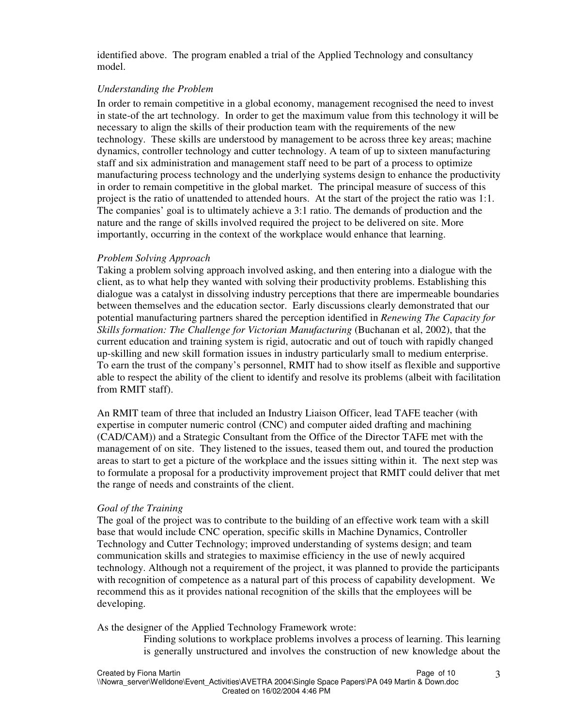identified above. The program enabled a trial of the Applied Technology and consultancy model.

# *Understanding the Problem*

In order to remain competitive in a global economy, management recognised the need to invest in state-of the art technology. In order to get the maximum value from this technology it will be necessary to align the skills of their production team with the requirements of the new technology. These skills are understood by management to be across three key areas; machine dynamics, controller technology and cutter technology. A team of up to sixteen manufacturing staff and six administration and management staff need to be part of a process to optimize manufacturing process technology and the underlying systems design to enhance the productivity in order to remain competitive in the global market. The principal measure of success of this project is the ratio of unattended to attended hours. At the start of the project the ratio was 1:1. The companies' goal is to ultimately achieve a 3:1 ratio. The demands of production and the nature and the range of skills involved required the project to be delivered on site. More importantly, occurring in the context of the workplace would enhance that learning.

# *Problem Solving Approach*

Taking a problem solving approach involved asking, and then entering into a dialogue with the client, as to what help they wanted with solving their productivity problems. Establishing this dialogue was a catalyst in dissolving industry perceptions that there are impermeable boundaries between themselves and the education sector. Early discussions clearly demonstrated that our potential manufacturing partners shared the perception identified in *Renewing The Capacity for Skills formation: The Challenge for Victorian Manufacturing* (Buchanan et al, 2002), that the current education and training system is rigid, autocratic and out of touch with rapidly changed up-skilling and new skill formation issues in industry particularly small to medium enterprise. To earn the trust of the company's personnel, RMIT had to show itself as flexible and supportive able to respect the ability of the client to identify and resolve its problems (albeit with facilitation from RMIT staff).

An RMIT team of three that included an Industry Liaison Officer, lead TAFE teacher (with expertise in computer numeric control (CNC) and computer aided drafting and machining (CAD/CAM)) and a Strategic Consultant from the Office of the Director TAFE met with the management of on site. They listened to the issues, teased them out, and toured the production areas to start to get a picture of the workplace and the issues sitting within it. The next step was to formulate a proposal for a productivity improvement project that RMIT could deliver that met the range of needs and constraints of the client.

# *Goal of the Training*

The goal of the project was to contribute to the building of an effective work team with a skill base that would include CNC operation, specific skills in Machine Dynamics, Controller Technology and Cutter Technology; improved understanding of systems design; and team communication skills and strategies to maximise efficiency in the use of newly acquired technology. Although not a requirement of the project, it was planned to provide the participants with recognition of competence as a natural part of this process of capability development. We recommend this as it provides national recognition of the skills that the employees will be developing.

As the designer of the Applied Technology Framework wrote:

Finding solutions to workplace problems involves a process of learning. This learning is generally unstructured and involves the construction of new knowledge about the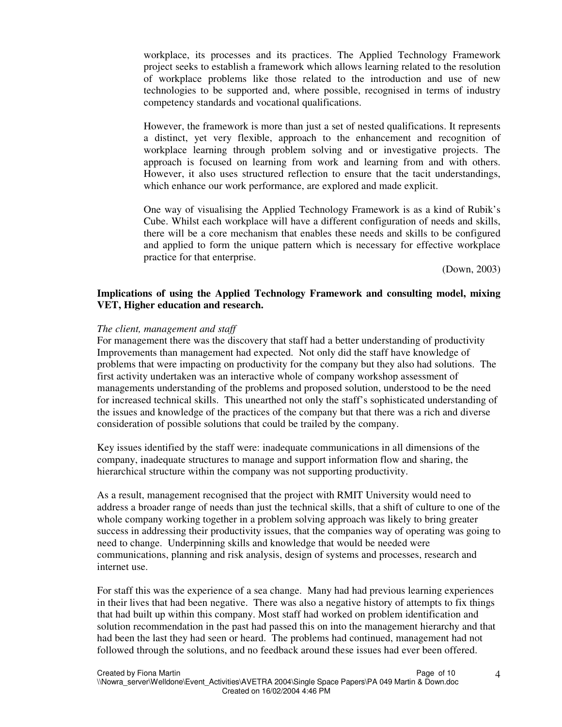workplace, its processes and its practices. The Applied Technology Framework project seeks to establish a framework which allows learning related to the resolution of workplace problems like those related to the introduction and use of new technologies to be supported and, where possible, recognised in terms of industry competency standards and vocational qualifications.

However, the framework is more than just a set of nested qualifications. It represents a distinct, yet very flexible, approach to the enhancement and recognition of workplace learning through problem solving and or investigative projects. The approach is focused on learning from work and learning from and with others. However, it also uses structured reflection to ensure that the tacit understandings, which enhance our work performance, are explored and made explicit.

One way of visualising the Applied Technology Framework is as a kind of Rubik's Cube. Whilst each workplace will have a different configuration of needs and skills, there will be a core mechanism that enables these needs and skills to be configured and applied to form the unique pattern which is necessary for effective workplace practice for that enterprise.

(Down, 2003)

### **Implications of using the Applied Technology Framework and consulting model, mixing VET, Higher education and research.**

#### *The client, management and staff*

For management there was the discovery that staff had a better understanding of productivity Improvements than management had expected. Not only did the staff have knowledge of problems that were impacting on productivity for the company but they also had solutions. The first activity undertaken was an interactive whole of company workshop assessment of managements understanding of the problems and proposed solution, understood to be the need for increased technical skills. This unearthed not only the staff's sophisticated understanding of the issues and knowledge of the practices of the company but that there was a rich and diverse consideration of possible solutions that could be trailed by the company.

Key issues identified by the staff were: inadequate communications in all dimensions of the company, inadequate structures to manage and support information flow and sharing, the hierarchical structure within the company was not supporting productivity.

As a result, management recognised that the project with RMIT University would need to address a broader range of needs than just the technical skills, that a shift of culture to one of the whole company working together in a problem solving approach was likely to bring greater success in addressing their productivity issues, that the companies way of operating was going to need to change. Underpinning skills and knowledge that would be needed were communications, planning and risk analysis, design of systems and processes, research and internet use.

For staff this was the experience of a sea change. Many had had previous learning experiences in their lives that had been negative. There was also a negative history of attempts to fix things that had built up within this company. Most staff had worked on problem identification and solution recommendation in the past had passed this on into the management hierarchy and that had been the last they had seen or heard. The problems had continued, management had not followed through the solutions, and no feedback around these issues had ever been offered.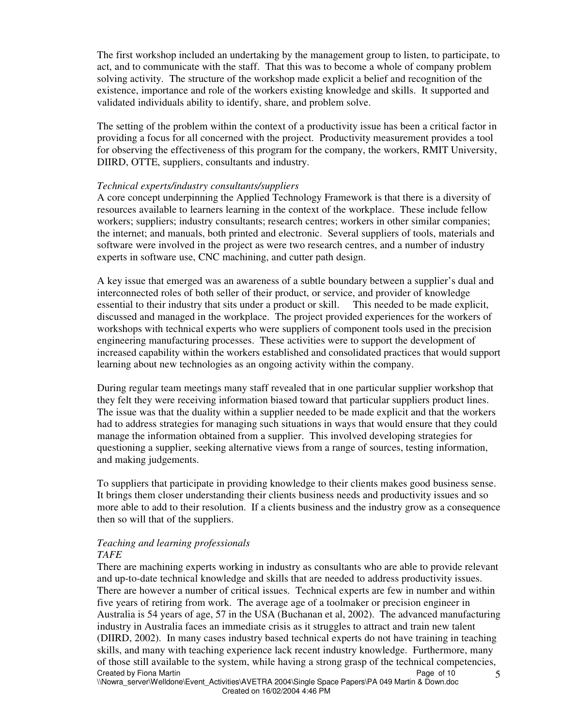The first workshop included an undertaking by the management group to listen, to participate, to act, and to communicate with the staff. That this was to become a whole of company problem solving activity. The structure of the workshop made explicit a belief and recognition of the existence, importance and role of the workers existing knowledge and skills. It supported and validated individuals ability to identify, share, and problem solve.

The setting of the problem within the context of a productivity issue has been a critical factor in providing a focus for all concerned with the project. Productivity measurement provides a tool for observing the effectiveness of this program for the company, the workers, RMIT University, DIIRD, OTTE, suppliers, consultants and industry.

### *Technical experts/industry consultants/suppliers*

A core concept underpinning the Applied Technology Framework is that there is a diversity of resources available to learners learning in the context of the workplace. These include fellow workers; suppliers; industry consultants; research centres; workers in other similar companies; the internet; and manuals, both printed and electronic. Several suppliers of tools, materials and software were involved in the project as were two research centres, and a number of industry experts in software use, CNC machining, and cutter path design.

A key issue that emerged was an awareness of a subtle boundary between a supplier's dual and interconnected roles of both seller of their product, or service, and provider of knowledge essential to their industry that sits under a product or skill. This needed to be made explicit, discussed and managed in the workplace. The project provided experiences for the workers of workshops with technical experts who were suppliers of component tools used in the precision engineering manufacturing processes. These activities were to support the development of increased capability within the workers established and consolidated practices that would support learning about new technologies as an ongoing activity within the company.

During regular team meetings many staff revealed that in one particular supplier workshop that they felt they were receiving information biased toward that particular suppliers product lines. The issue was that the duality within a supplier needed to be made explicit and that the workers had to address strategies for managing such situations in ways that would ensure that they could manage the information obtained from a supplier. This involved developing strategies for questioning a supplier, seeking alternative views from a range of sources, testing information, and making judgements.

To suppliers that participate in providing knowledge to their clients makes good business sense. It brings them closer understanding their clients business needs and productivity issues and so more able to add to their resolution. If a clients business and the industry grow as a consequence then so will that of the suppliers.

#### *Teaching and learning professionals TAFE*

Created by Fiona Martin Page of 10 5 There are machining experts working in industry as consultants who are able to provide relevant and up-to-date technical knowledge and skills that are needed to address productivity issues. There are however a number of critical issues. Technical experts are few in number and within five years of retiring from work. The average age of a toolmaker or precision engineer in Australia is 54 years of age, 57 in the USA (Buchanan et al, 2002). The advanced manufacturing industry in Australia faces an immediate crisis as it struggles to attract and train new talent (DIIRD, 2002). In many cases industry based technical experts do not have training in teaching skills, and many with teaching experience lack recent industry knowledge. Furthermore, many of those still available to the system, while having a strong grasp of the technical competencies,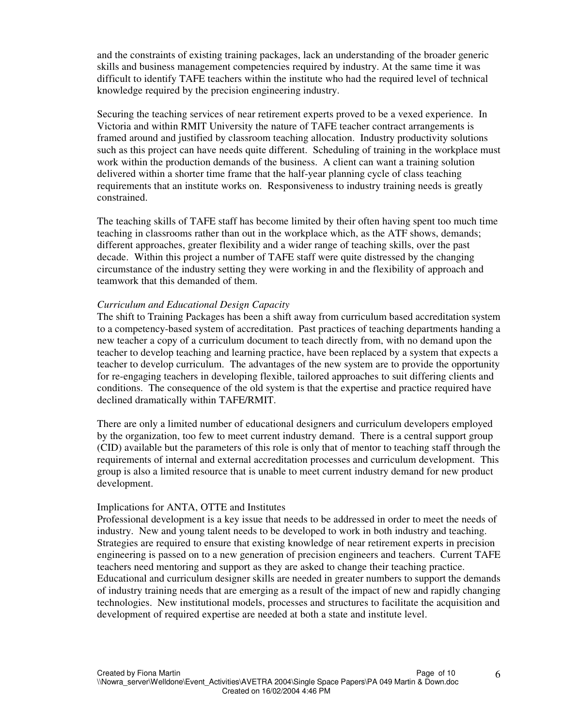and the constraints of existing training packages, lack an understanding of the broader generic skills and business management competencies required by industry. At the same time it was difficult to identify TAFE teachers within the institute who had the required level of technical knowledge required by the precision engineering industry.

Securing the teaching services of near retirement experts proved to be a vexed experience. In Victoria and within RMIT University the nature of TAFE teacher contract arrangements is framed around and justified by classroom teaching allocation. Industry productivity solutions such as this project can have needs quite different. Scheduling of training in the workplace must work within the production demands of the business. A client can want a training solution delivered within a shorter time frame that the half-year planning cycle of class teaching requirements that an institute works on. Responsiveness to industry training needs is greatly constrained.

The teaching skills of TAFE staff has become limited by their often having spent too much time teaching in classrooms rather than out in the workplace which, as the ATF shows, demands; different approaches, greater flexibility and a wider range of teaching skills, over the past decade. Within this project a number of TAFE staff were quite distressed by the changing circumstance of the industry setting they were working in and the flexibility of approach and teamwork that this demanded of them.

### *Curriculum and Educational Design Capacity*

The shift to Training Packages has been a shift away from curriculum based accreditation system to a competency-based system of accreditation. Past practices of teaching departments handing a new teacher a copy of a curriculum document to teach directly from, with no demand upon the teacher to develop teaching and learning practice, have been replaced by a system that expects a teacher to develop curriculum. The advantages of the new system are to provide the opportunity for re-engaging teachers in developing flexible, tailored approaches to suit differing clients and conditions. The consequence of the old system is that the expertise and practice required have declined dramatically within TAFE/RMIT.

There are only a limited number of educational designers and curriculum developers employed by the organization, too few to meet current industry demand. There is a central support group (CID) available but the parameters of this role is only that of mentor to teaching staff through the requirements of internal and external accreditation processes and curriculum development. This group is also a limited resource that is unable to meet current industry demand for new product development.

#### Implications for ANTA, OTTE and Institutes

Professional development is a key issue that needs to be addressed in order to meet the needs of industry. New and young talent needs to be developed to work in both industry and teaching. Strategies are required to ensure that existing knowledge of near retirement experts in precision engineering is passed on to a new generation of precision engineers and teachers. Current TAFE teachers need mentoring and support as they are asked to change their teaching practice. Educational and curriculum designer skills are needed in greater numbers to support the demands of industry training needs that are emerging as a result of the impact of new and rapidly changing technologies. New institutional models, processes and structures to facilitate the acquisition and development of required expertise are needed at both a state and institute level.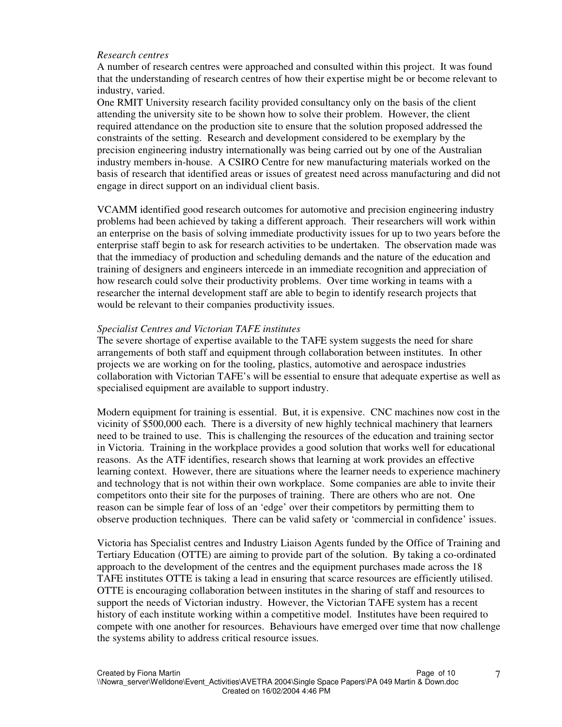### *Research centres*

A number of research centres were approached and consulted within this project. It was found that the understanding of research centres of how their expertise might be or become relevant to industry, varied.

One RMIT University research facility provided consultancy only on the basis of the client attending the university site to be shown how to solve their problem. However, the client required attendance on the production site to ensure that the solution proposed addressed the constraints of the setting. Research and development considered to be exemplary by the precision engineering industry internationally was being carried out by one of the Australian industry members in-house. A CSIRO Centre for new manufacturing materials worked on the basis of research that identified areas or issues of greatest need across manufacturing and did not engage in direct support on an individual client basis.

VCAMM identified good research outcomes for automotive and precision engineering industry problems had been achieved by taking a different approach. Their researchers will work within an enterprise on the basis of solving immediate productivity issues for up to two years before the enterprise staff begin to ask for research activities to be undertaken. The observation made was that the immediacy of production and scheduling demands and the nature of the education and training of designers and engineers intercede in an immediate recognition and appreciation of how research could solve their productivity problems. Over time working in teams with a researcher the internal development staff are able to begin to identify research projects that would be relevant to their companies productivity issues.

### *Specialist Centres and Victorian TAFE institutes*

The severe shortage of expertise available to the TAFE system suggests the need for share arrangements of both staff and equipment through collaboration between institutes. In other projects we are working on for the tooling, plastics, automotive and aerospace industries collaboration with Victorian TAFE's will be essential to ensure that adequate expertise as well as specialised equipment are available to support industry.

Modern equipment for training is essential. But, it is expensive. CNC machines now cost in the vicinity of \$500,000 each. There is a diversity of new highly technical machinery that learners need to be trained to use. This is challenging the resources of the education and training sector in Victoria. Training in the workplace provides a good solution that works well for educational reasons. As the ATF identifies, research shows that learning at work provides an effective learning context. However, there are situations where the learner needs to experience machinery and technology that is not within their own workplace. Some companies are able to invite their competitors onto their site for the purposes of training. There are others who are not. One reason can be simple fear of loss of an 'edge' over their competitors by permitting them to observe production techniques. There can be valid safety or 'commercial in confidence' issues.

Victoria has Specialist centres and Industry Liaison Agents funded by the Office of Training and Tertiary Education (OTTE) are aiming to provide part of the solution. By taking a co-ordinated approach to the development of the centres and the equipment purchases made across the 18 TAFE institutes OTTE is taking a lead in ensuring that scarce resources are efficiently utilised. OTTE is encouraging collaboration between institutes in the sharing of staff and resources to support the needs of Victorian industry. However, the Victorian TAFE system has a recent history of each institute working within a competitive model. Institutes have been required to compete with one another for resources. Behaviours have emerged over time that now challenge the systems ability to address critical resource issues.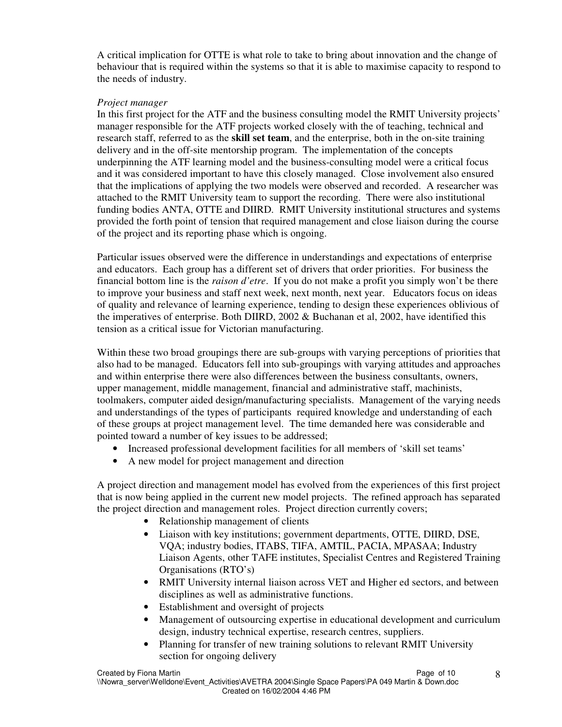A critical implication for OTTE is what role to take to bring about innovation and the change of behaviour that is required within the systems so that it is able to maximise capacity to respond to the needs of industry.

# *Project manager*

In this first project for the ATF and the business consulting model the RMIT University projects' manager responsible for the ATF projects worked closely with the of teaching, technical and research staff, referred to as the **skill set team**, and the enterprise, both in the on-site training delivery and in the off-site mentorship program. The implementation of the concepts underpinning the ATF learning model and the business-consulting model were a critical focus and it was considered important to have this closely managed. Close involvement also ensured that the implications of applying the two models were observed and recorded. A researcher was attached to the RMIT University team to support the recording. There were also institutional funding bodies ANTA, OTTE and DIIRD. RMIT University institutional structures and systems provided the forth point of tension that required management and close liaison during the course of the project and its reporting phase which is ongoing.

Particular issues observed were the difference in understandings and expectations of enterprise and educators. Each group has a different set of drivers that order priorities. For business the financial bottom line is the *raison d'etre*. If you do not make a profit you simply won't be there to improve your business and staff next week, next month, next year. Educators focus on ideas of quality and relevance of learning experience, tending to design these experiences oblivious of the imperatives of enterprise. Both DIIRD, 2002 & Buchanan et al, 2002, have identified this tension as a critical issue for Victorian manufacturing.

Within these two broad groupings there are sub-groups with varying perceptions of priorities that also had to be managed. Educators fell into sub-groupings with varying attitudes and approaches and within enterprise there were also differences between the business consultants, owners, upper management, middle management, financial and administrative staff, machinists, toolmakers, computer aided design/manufacturing specialists. Management of the varying needs and understandings of the types of participants required knowledge and understanding of each of these groups at project management level. The time demanded here was considerable and pointed toward a number of key issues to be addressed;

- Increased professional development facilities for all members of 'skill set teams'
- A new model for project management and direction

A project direction and management model has evolved from the experiences of this first project that is now being applied in the current new model projects. The refined approach has separated the project direction and management roles. Project direction currently covers;

- Relationship management of clients
- Liaison with key institutions; government departments, OTTE, DIIRD, DSE, VQA; industry bodies, ITABS, TIFA, AMTIL, PACIA, MPASAA; Industry Liaison Agents, other TAFE institutes, Specialist Centres and Registered Training Organisations (RTO's)
- RMIT University internal liaison across VET and Higher ed sectors, and between disciplines as well as administrative functions.
- Establishment and oversight of projects
- Management of outsourcing expertise in educational development and curriculum design, industry technical expertise, research centres, suppliers.
- Planning for transfer of new training solutions to relevant RMIT University section for ongoing delivery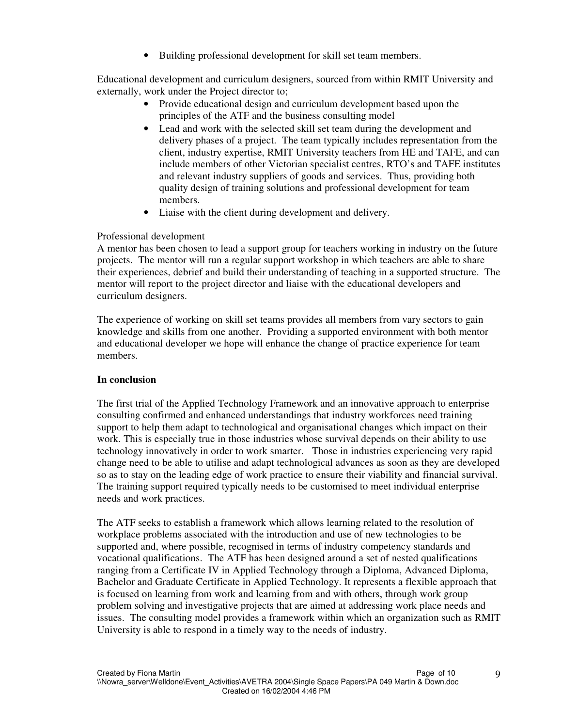• Building professional development for skill set team members.

Educational development and curriculum designers, sourced from within RMIT University and externally, work under the Project director to;

- Provide educational design and curriculum development based upon the principles of the ATF and the business consulting model
- Lead and work with the selected skill set team during the development and delivery phases of a project. The team typically includes representation from the client, industry expertise, RMIT University teachers from HE and TAFE, and can include members of other Victorian specialist centres, RTO's and TAFE institutes and relevant industry suppliers of goods and services. Thus, providing both quality design of training solutions and professional development for team members.
- Liaise with the client during development and delivery.

# Professional development

A mentor has been chosen to lead a support group for teachers working in industry on the future projects. The mentor will run a regular support workshop in which teachers are able to share their experiences, debrief and build their understanding of teaching in a supported structure. The mentor will report to the project director and liaise with the educational developers and curriculum designers.

The experience of working on skill set teams provides all members from vary sectors to gain knowledge and skills from one another. Providing a supported environment with both mentor and educational developer we hope will enhance the change of practice experience for team members.

### **In conclusion**

The first trial of the Applied Technology Framework and an innovative approach to enterprise consulting confirmed and enhanced understandings that industry workforces need training support to help them adapt to technological and organisational changes which impact on their work. This is especially true in those industries whose survival depends on their ability to use technology innovatively in order to work smarter. Those in industries experiencing very rapid change need to be able to utilise and adapt technological advances as soon as they are developed so as to stay on the leading edge of work practice to ensure their viability and financial survival. The training support required typically needs to be customised to meet individual enterprise needs and work practices.

The ATF seeks to establish a framework which allows learning related to the resolution of workplace problems associated with the introduction and use of new technologies to be supported and, where possible, recognised in terms of industry competency standards and vocational qualifications. The ATF has been designed around a set of nested qualifications ranging from a Certificate IV in Applied Technology through a Diploma, Advanced Diploma, Bachelor and Graduate Certificate in Applied Technology. It represents a flexible approach that is focused on learning from work and learning from and with others, through work group problem solving and investigative projects that are aimed at addressing work place needs and issues. The consulting model provides a framework within which an organization such as RMIT University is able to respond in a timely way to the needs of industry.